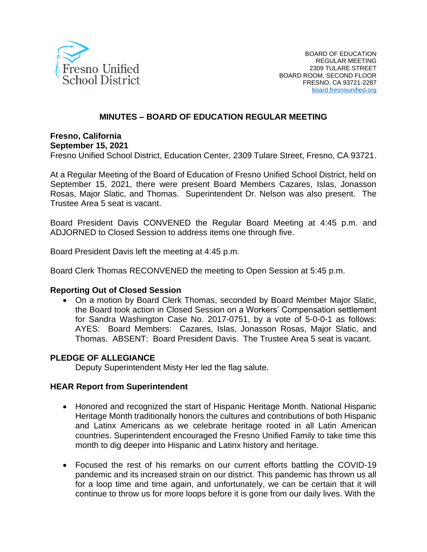

## **MINUTES – BOARD OF EDUCATION REGULAR MEETING**

**Fresno, California September 15, 2021**

Fresno Unified School District, Education Center, 2309 Tulare Street, Fresno, CA 93721.

At a Regular Meeting of the Board of Education of Fresno Unified School District, held on September 15, 2021, there were present Board Members Cazares, Islas, Jonasson Rosas, Major Slatic, and Thomas. Superintendent Dr. Nelson was also present. The Trustee Area 5 seat is vacant.

Board President Davis CONVENED the Regular Board Meeting at 4:45 p.m. and ADJORNED to Closed Session to address items one through five.

Board President Davis left the meeting at 4:45 p.m.

Board Clerk Thomas RECONVENED the meeting to Open Session at 5:45 p.m.

### **Reporting Out of Closed Session**

• On a motion by Board Clerk Thomas, seconded by Board Member Major Slatic, the Board took action in Closed Session on a Workers' Compensation settlement for Sandra Washington Case No. 2017-0751, by a vote of 5-0-0-1 as follows: AYES: Board Members: Cazares, Islas, Jonasson Rosas, Major Slatic, and Thomas. ABSENT: Board President Davis. The Trustee Area 5 seat is vacant.

### **PLEDGE OF ALLEGIANCE**

Deputy Superintendent Misty Her led the flag salute.

### **HEAR Report from Superintendent**

- Honored and recognized the start of Hispanic Heritage Month. National Hispanic Heritage Month traditionally honors the cultures and contributions of both Hispanic and Latinx Americans as we celebrate heritage rooted in all Latin American countries. Superintendent encouraged the Fresno Unified Family to take time this month to dig deeper into Hispanic and Latinx history and heritage.
- Focused the rest of his remarks on our current efforts battling the COVID-19 pandemic and its increased strain on our district. This pandemic has thrown us all for a loop time and time again, and unfortunately, we can be certain that it will continue to throw us for more loops before it is gone from our daily lives. With the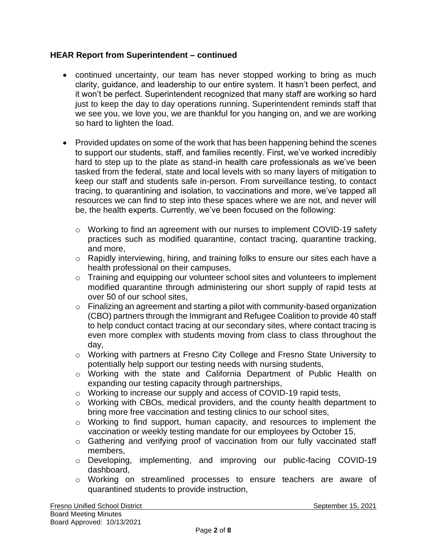## **HEAR Report from Superintendent – continued**

- continued uncertainty, our team has never stopped working to bring as much clarity, guidance, and leadership to our entire system. It hasn't been perfect, and it won't be perfect. Superintendent recognized that many staff are working so hard just to keep the day to day operations running. Superintendent reminds staff that we see you, we love you, we are thankful for you hanging on, and we are working so hard to lighten the load.
- Provided updates on some of the work that has been happening behind the scenes to support our students, staff, and families recently. First, we've worked incredibly hard to step up to the plate as stand-in health care professionals as we've been tasked from the federal, state and local levels with so many layers of mitigation to keep our staff and students safe in-person. From surveillance testing, to contact tracing, to quarantining and isolation, to vaccinations and more, we've tapped all resources we can find to step into these spaces where we are not, and never will be, the health experts. Currently, we've been focused on the following:
	- o Working to find an agreement with our nurses to implement COVID-19 safety practices such as modified quarantine, contact tracing, quarantine tracking, and more,
	- o Rapidly interviewing, hiring, and training folks to ensure our sites each have a health professional on their campuses,
	- o Training and equipping our volunteer school sites and volunteers to implement modified quarantine through administering our short supply of rapid tests at over 50 of our school sites,
	- o Finalizing an agreement and starting a pilot with community-based organization (CBO) partners through the Immigrant and Refugee Coalition to provide 40 staff to help conduct contact tracing at our secondary sites, where contact tracing is even more complex with students moving from class to class throughout the day,
	- o Working with partners at Fresno City College and Fresno State University to potentially help support our testing needs with nursing students,
	- o Working with the state and California Department of Public Health on expanding our testing capacity through partnerships,
	- o Working to increase our supply and access of COVID-19 rapid tests,
	- o Working with CBOs, medical providers, and the county health department to bring more free vaccination and testing clinics to our school sites,
	- o Working to find support, human capacity, and resources to implement the vaccination or weekly testing mandate for our employees by October 15,
	- o Gathering and verifying proof of vaccination from our fully vaccinated staff members,
	- o Developing, implementing, and improving our public-facing COVID-19 dashboard,
	- o Working on streamlined processes to ensure teachers are aware of quarantined students to provide instruction,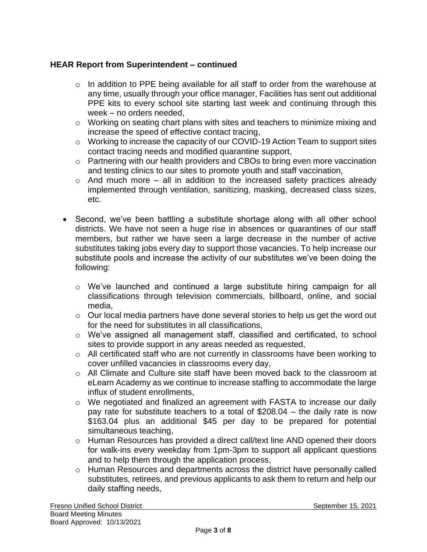# **HEAR Report from Superintendent – continued**

- $\circ$  In addition to PPE being available for all staff to order from the warehouse at any time, usually through your office manager, Facilities has sent out additional PPE kits to every school site starting last week and continuing through this week – no orders needed,
- o Working on seating chart plans with sites and teachers to minimize mixing and increase the speed of effective contact tracing,
- o Working to increase the capacity of our COVID-19 Action Team to support sites contact tracing needs and modified quarantine support,
- o Partnering with our health providers and CBOs to bring even more vaccination and testing clinics to our sites to promote youth and staff vaccination,
- $\circ$  And much more all in addition to the increased safety practices already implemented through ventilation, sanitizing, masking, decreased class sizes, etc.
- Second, we've been battling a substitute shortage along with all other school districts. We have not seen a huge rise in absences or quarantines of our staff members, but rather we have seen a large decrease in the number of active substitutes taking jobs every day to support those vacancies. To help increase our substitute pools and increase the activity of our substitutes we've been doing the following:
	- o We've launched and continued a large substitute hiring campaign for all classifications through television commercials, billboard, online, and social media,
	- o Our local media partners have done several stories to help us get the word out for the need for substitutes in all classifications,
	- o We've assigned all management staff, classified and certificated, to school sites to provide support in any areas needed as requested,
	- o All certificated staff who are not currently in classrooms have been working to cover unfilled vacancies in classrooms every day,
	- o All Climate and Culture site staff have been moved back to the classroom at eLearn Academy as we continue to increase staffing to accommodate the large influx of student enrollments,
	- o We negotiated and finalized an agreement with FASTA to increase our daily pay rate for substitute teachers to a total of \$208.04 – the daily rate is now \$163.04 plus an additional \$45 per day to be prepared for potential simultaneous teaching,
	- o Human Resources has provided a direct call/text line AND opened their doors for walk-ins every weekday from 1pm-3pm to support all applicant questions and to help them through the application process,
	- o Human Resources and departments across the district have personally called substitutes, retirees, and previous applicants to ask them to return and help our daily staffing needs,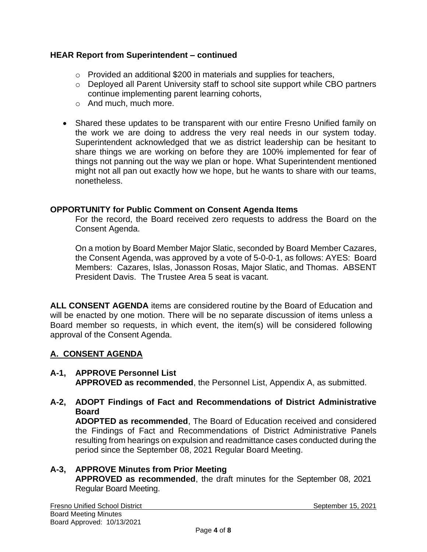## **HEAR Report from Superintendent – continued**

- o Provided an additional \$200 in materials and supplies for teachers,
- o Deployed all Parent University staff to school site support while CBO partners continue implementing parent learning cohorts,
- o And much, much more.
- Shared these updates to be transparent with our entire Fresno Unified family on the work we are doing to address the very real needs in our system today. Superintendent acknowledged that we as district leadership can be hesitant to share things we are working on before they are 100% implemented for fear of things not panning out the way we plan or hope. What Superintendent mentioned might not all pan out exactly how we hope, but he wants to share with our teams, nonetheless.

### **OPPORTUNITY for Public Comment on Consent Agenda Items**

For the record, the Board received zero requests to address the Board on the Consent Agenda.

On a motion by Board Member Major Slatic, seconded by Board Member Cazares, the Consent Agenda, was approved by a vote of 5-0-0-1, as follows: AYES: Board Members: Cazares, Islas, Jonasson Rosas, Major Slatic, and Thomas. ABSENT President Davis. The Trustee Area 5 seat is vacant.

**ALL CONSENT AGENDA** items are considered routine by the Board of Education and will be enacted by one motion. There will be no separate discussion of items unless a Board member so requests, in which event, the item(s) will be considered following approval of the Consent Agenda.

# **A. CONSENT AGENDA**

- **A-1, APPROVE Personnel List APPROVED as recommended**, the Personnel List, Appendix A, as submitted.
- **A-2, ADOPT Findings of Fact and Recommendations of District Administrative Board ADOPTED as recommended**, The Board of Education received and considered

the Findings of Fact and Recommendations of District Administrative Panels resulting from hearings on expulsion and readmittance cases conducted during the period since the September 08, 2021 Regular Board Meeting.

### **A-3, APPROVE Minutes from Prior Meeting APPROVED as recommended**, the draft minutes for the September 08, 2021 Regular Board Meeting.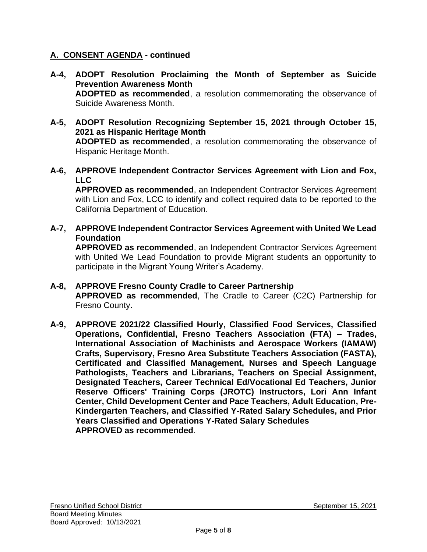# **A. CONSENT AGENDA - continued**

- **A-4, ADOPT Resolution Proclaiming the Month of September as Suicide Prevention Awareness Month ADOPTED as recommended**, a resolution commemorating the observance of Suicide Awareness Month.
- **A-5, ADOPT Resolution Recognizing September 15, 2021 through October 15, 2021 as Hispanic Heritage Month ADOPTED as recommended**, a resolution commemorating the observance of Hispanic Heritage Month.
- **A-6, APPROVE Independent Contractor Services Agreement with Lion and Fox, LLC**

**APPROVED as recommended**, an Independent Contractor Services Agreement with Lion and Fox, LCC to identify and collect required data to be reported to the California Department of Education.

**A-7, APPROVE Independent Contractor Services Agreement with United We Lead Foundation**

**APPROVED as recommended**, an Independent Contractor Services Agreement with United We Lead Foundation to provide Migrant students an opportunity to participate in the Migrant Young Writer's Academy.

- **A-8, APPROVE Fresno County Cradle to Career Partnership APPROVED as recommended**, The Cradle to Career (C2C) Partnership for Fresno County.
- **A-9, APPROVE 2021/22 Classified Hourly, Classified Food Services, Classified Operations, Confidential, Fresno Teachers Association (FTA) – Trades, International Association of Machinists and Aerospace Workers (IAMAW) Crafts, Supervisory, Fresno Area Substitute Teachers Association (FASTA), Certificated and Classified Management, Nurses and Speech Language Pathologists, Teachers and Librarians, Teachers on Special Assignment, Designated Teachers, Career Technical Ed/Vocational Ed Teachers, Junior Reserve Officers' Training Corps (JROTC) Instructors, Lori Ann Infant Center, Child Development Center and Pace Teachers, Adult Education, Pre-Kindergarten Teachers, and Classified Y-Rated Salary Schedules, and Prior Years Classified and Operations Y-Rated Salary Schedules APPROVED as recommended**.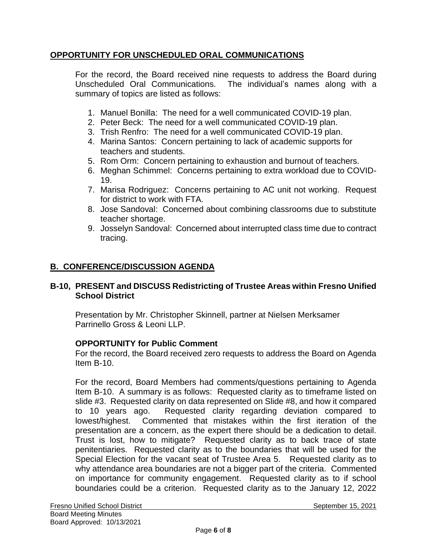# **OPPORTUNITY FOR UNSCHEDULED ORAL COMMUNICATIONS**

For the record, the Board received nine requests to address the Board during Unscheduled Oral Communications. The individual's names along with a summary of topics are listed as follows:

- 1. Manuel Bonilla: The need for a well communicated COVID-19 plan.
- 2. Peter Beck: The need for a well communicated COVID-19 plan.
- 3. Trish Renfro: The need for a well communicated COVID-19 plan.
- 4. Marina Santos: Concern pertaining to lack of academic supports for teachers and students.
- 5. Rom Orm: Concern pertaining to exhaustion and burnout of teachers.
- 6. Meghan Schimmel: Concerns pertaining to extra workload due to COVID-19.
- 7. Marisa Rodriguez: Concerns pertaining to AC unit not working. Request for district to work with FTA.
- 8. Jose Sandoval: Concerned about combining classrooms due to substitute teacher shortage.
- 9. Josselyn Sandoval: Concerned about interrupted class time due to contract tracing.

# **B. CONFERENCE/DISCUSSION AGENDA**

## **B-10, PRESENT and DISCUSS Redistricting of Trustee Areas within Fresno Unified School District**

Presentation by Mr. Christopher Skinnell, partner at Nielsen Merksamer Parrinello Gross & Leoni LLP.

# **OPPORTUNITY for Public Comment**

For the record, the Board received zero requests to address the Board on Agenda Item B-10.

For the record, Board Members had comments/questions pertaining to Agenda Item B-10. A summary is as follows: Requested clarity as to timeframe listed on slide #3. Requested clarity on data represented on Slide #8, and how it compared to 10 years ago. Requested clarity regarding deviation compared to lowest/highest. Commented that mistakes within the first iteration of the presentation are a concern, as the expert there should be a dedication to detail. Trust is lost, how to mitigate? Requested clarity as to back trace of state penitentiaries. Requested clarity as to the boundaries that will be used for the Special Election for the vacant seat of Trustee Area 5. Requested clarity as to why attendance area boundaries are not a bigger part of the criteria. Commented on importance for community engagement. Requested clarity as to if school boundaries could be a criterion. Requested clarity as to the January 12, 2022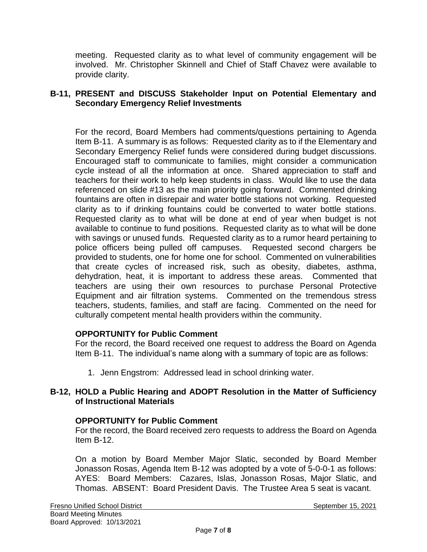meeting. Requested clarity as to what level of community engagement will be involved. Mr. Christopher Skinnell and Chief of Staff Chavez were available to provide clarity.

## **B-11, PRESENT and DISCUSS Stakeholder Input on Potential Elementary and Secondary Emergency Relief Investments**

For the record, Board Members had comments/questions pertaining to Agenda Item B-11. A summary is as follows: Requested clarity as to if the Elementary and Secondary Emergency Relief funds were considered during budget discussions. Encouraged staff to communicate to families, might consider a communication cycle instead of all the information at once. Shared appreciation to staff and teachers for their work to help keep students in class. Would like to use the data referenced on slide #13 as the main priority going forward. Commented drinking fountains are often in disrepair and water bottle stations not working. Requested clarity as to if drinking fountains could be converted to water bottle stations. Requested clarity as to what will be done at end of year when budget is not available to continue to fund positions. Requested clarity as to what will be done with savings or unused funds. Requested clarity as to a rumor heard pertaining to police officers being pulled off campuses. Requested second chargers be provided to students, one for home one for school. Commented on vulnerabilities that create cycles of increased risk, such as obesity, diabetes, asthma, dehydration, heat, it is important to address these areas. Commented that teachers are using their own resources to purchase Personal Protective Equipment and air filtration systems. Commented on the tremendous stress teachers, students, families, and staff are facing. Commented on the need for culturally competent mental health providers within the community.

# **OPPORTUNITY for Public Comment**

For the record, the Board received one request to address the Board on Agenda Item B-11. The individual's name along with a summary of topic are as follows:

1. Jenn Engstrom: Addressed lead in school drinking water.

# **B-12, HOLD a Public Hearing and ADOPT Resolution in the Matter of Sufficiency of Instructional Materials**

# **OPPORTUNITY for Public Comment**

For the record, the Board received zero requests to address the Board on Agenda Item B-12.

On a motion by Board Member Major Slatic, seconded by Board Member Jonasson Rosas, Agenda Item B-12 was adopted by a vote of 5-0-0-1 as follows: AYES: Board Members: Cazares, Islas, Jonasson Rosas, Major Slatic, and Thomas. ABSENT: Board President Davis. The Trustee Area 5 seat is vacant.